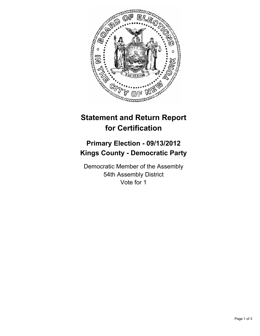

# **Statement and Return Report for Certification**

## **Primary Election - 09/13/2012 Kings County - Democratic Party**

Democratic Member of the Assembly 54th Assembly District Vote for 1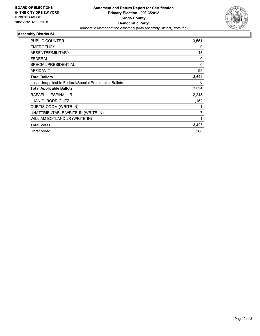

### **Assembly District 54**

| <b>PUBLIC COUNTER</b>                                    | 3,551    |
|----------------------------------------------------------|----------|
| <b>EMERGENCY</b>                                         | 0        |
| ABSENTEE/MILITARY                                        | 48       |
| <b>FEDERAL</b>                                           | 0        |
| <b>SPECIAL PRESIDENTIAL</b>                              | 0        |
| <b>AFFIDAVIT</b>                                         | 95       |
| <b>Total Ballots</b>                                     | 3,694    |
| Less - Inapplicable Federal/Special Presidential Ballots | $\Omega$ |
| <b>Total Applicable Ballots</b>                          | 3,694    |
| RAFAEL L. ESPINAL JR.                                    | 2,245    |
| <b>JUAN C. RODRIGUEZ</b>                                 | 1,152    |
| CURTIS ODOM (WRITE-IN)                                   |          |
| UNATTRIBUTABLE WRITE-IN (WRITE-IN)                       | 7        |
| WILLIAM BOYLAND JR (WRITE-IN)                            | 1        |
| <b>Total Votes</b>                                       | 3,406    |
| Unrecorded                                               | 288      |